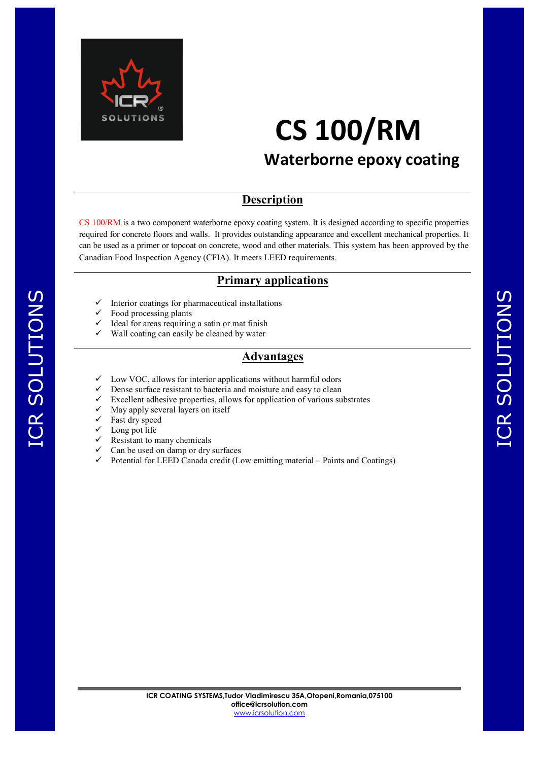

# **CS 100/RM**

### **Waterborne epoxy coating**

#### **Description**

CS 100/RM is a two component waterborne epoxy coating system. It is designed according to specific properties required for concrete floors and walls. It provides outstanding appearance and excellent mechanical properties. It can be used as a primer or topcoat on concrete, wood and other materials. This system has been approved by the Canadian Food Inspection Agency (CFIA). It meets LEED requirements.

#### **Primary applications**

- Interior coatings for pharmaceutical installations
- Food processing plants
- Ideal for areas requiring a satin or mat finish
- $\checkmark$  Wall coating can easily be cleaned by water

#### **Advantages**

- Low VOC, allows for interior applications without harmful odors
- Dense surface resistant to bacteria and moisture and easy to clean
- Excellent adhesive properties, allows for application of various substrates
- $\checkmark$  May apply several layers on itself
- $\checkmark$  Fast dry speed

ICR SOLUTIONS

ICR SOLUTIONS

- $\checkmark$  Long pot life
- $\checkmark$  Resistant to many chemicals
- $\checkmark$  Can be used on damp or dry surfaces
- $\checkmark$  Potential for LEED Canada credit (Low emitting material Paints and Coatings)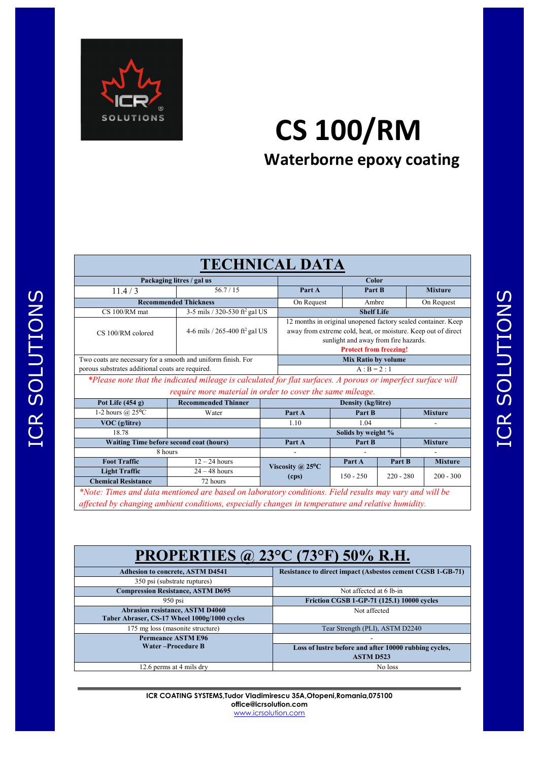

# **CS 100/RM Waterborne epoxy coating**

| <b>TECHNICAL DATA</b>                                                                                       |                                           |  |                                                                                                                                                                                                         |             |             |                |                |                |  |
|-------------------------------------------------------------------------------------------------------------|-------------------------------------------|--|---------------------------------------------------------------------------------------------------------------------------------------------------------------------------------------------------------|-------------|-------------|----------------|----------------|----------------|--|
| Packaging litres / gal us                                                                                   |                                           |  | Color                                                                                                                                                                                                   |             |             |                |                |                |  |
| 11.4/3                                                                                                      | 56.7/15                                   |  | Part A                                                                                                                                                                                                  | Part B      |             |                | <b>Mixture</b> |                |  |
| <b>Recommended Thickness</b>                                                                                |                                           |  | On Request                                                                                                                                                                                              |             | Ambre       |                | On Request     |                |  |
| CS 100/RM mat                                                                                               | 3-5 mils / 320-530 ft <sup>2</sup> gal US |  | <b>Shelf Life</b>                                                                                                                                                                                       |             |             |                |                |                |  |
| CS 100/RM colored                                                                                           | 4-6 mils / 265-400 ft <sup>2</sup> gal US |  | 12 months in original unopened factory sealed container. Keep<br>away from extreme cold, heat, or moisture. Keep out of direct<br>sunlight and away from fire hazards.<br><b>Protect from freezing!</b> |             |             |                |                |                |  |
| Two coats are necessary for a smooth and uniform finish. For                                                |                                           |  | <b>Mix Ratio by volume</b>                                                                                                                                                                              |             |             |                |                |                |  |
| porous substrates additional coats are required.                                                            |                                           |  | $A : B = 2 : 1$                                                                                                                                                                                         |             |             |                |                |                |  |
| *Please note that the indicated mileage is calculated for flat surfaces. A porous or imperfect surface will |                                           |  |                                                                                                                                                                                                         |             |             |                |                |                |  |
| require more material in order to cover the same mileage.                                                   |                                           |  |                                                                                                                                                                                                         |             |             |                |                |                |  |
| Pot Life $(454 g)$                                                                                          | <b>Recommended Thinner</b>                |  | <b>Density (kg/litre)</b>                                                                                                                                                                               |             |             |                |                |                |  |
| 1-2 hours $@$ 25°C                                                                                          | Water                                     |  | Part A                                                                                                                                                                                                  |             | Part B      |                | <b>Mixture</b> |                |  |
| VOC (g/litre)                                                                                               |                                           |  | 1.10                                                                                                                                                                                                    | 1.04        |             |                |                |                |  |
| 18.78                                                                                                       |                                           |  | Solids by weight %                                                                                                                                                                                      |             |             |                |                |                |  |
| Waiting Time before second coat (hours)                                                                     |                                           |  | Part A                                                                                                                                                                                                  | Part B      |             | <b>Mixture</b> |                |                |  |
| 8 hours                                                                                                     |                                           |  |                                                                                                                                                                                                         |             |             |                |                |                |  |
| <b>Foot Traffic</b>                                                                                         | $12 - 24$ hours                           |  | Viscosity @ $25^{\circ}$ C<br>(cps)                                                                                                                                                                     |             | Part A      | Part B         |                | <b>Mixture</b> |  |
| <b>Light Traffic</b>                                                                                        | $24 - 48$ hours                           |  |                                                                                                                                                                                                         | $150 - 250$ | $220 - 280$ |                | $200 - 300$    |                |  |
| <b>Chemical Resistance</b>                                                                                  | 72 hours                                  |  |                                                                                                                                                                                                         |             |             |                |                |                |  |
| *Note: Times and data mentioned are based on laboratory conditions. Field results may vary and will be      |                                           |  |                                                                                                                                                                                                         |             |             |                |                |                |  |
| affected by changing ambient conditions, especially changes in temperature and relative humidity.           |                                           |  |                                                                                                                                                                                                         |             |             |                |                |                |  |

## **PROPERTIES @ 23°C (73°F) 50% R.H.**

| <b>Adhesion to concrete, ASTM D4541</b>      | <b>Resistance to direct impact (Asbestos cement CGSB 1-GB-71)</b> |  |  |  |  |  |
|----------------------------------------------|-------------------------------------------------------------------|--|--|--|--|--|
| 350 psi (substrate ruptures)                 |                                                                   |  |  |  |  |  |
| <b>Compression Resistance, ASTM D695</b>     | Not affected at 6 lb-in                                           |  |  |  |  |  |
| $950$ psi                                    | Friction CGSB 1-GP-71 (125.1) 10000 cycles                        |  |  |  |  |  |
| <b>Abrasion resistance, ASTM D4060</b>       | Not affected                                                      |  |  |  |  |  |
| Taber Abraser, CS-17 Wheel 1000g/1000 cycles |                                                                   |  |  |  |  |  |
| 175 mg loss (masonite structure)             | Tear Strength (PLI), ASTM D2240                                   |  |  |  |  |  |
| <b>Permeance ASTM E96</b>                    | $\overline{\phantom{0}}$                                          |  |  |  |  |  |
| Water-Procedure B                            | Loss of lustre before and after 10000 rubbing cycles,             |  |  |  |  |  |
|                                              | <b>ASTM D523</b>                                                  |  |  |  |  |  |
| 12.6 perms at 4 mils dry                     | No loss                                                           |  |  |  |  |  |

**ICR COATING SYSTEMS,Tudor Vladimirescu 35A,Otopeni,Romania,075100 office@icrsolution.com** www.icrsolution.com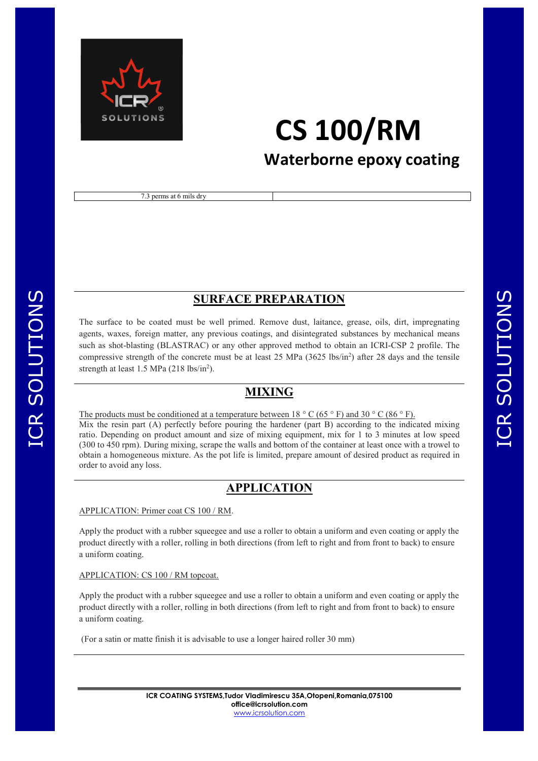

## **CS 100/RM Waterborne epoxy coating**

7.3 perms at 6 mils dry

#### **SURFACE PREPARATION**

The surface to be coated must be well primed. Remove dust, laitance, grease, oils, dirt, impregnating agents, waxes, foreign matter, any previous coatings, and disintegrated substances by mechanical means such as shot-blasting (BLASTRAC) or any other approved method to obtain an ICRI-CSP 2 profile. The compressive strength of the concrete must be at least 25 MPa  $(3625 \text{ lbs/in}^2)$  after 28 days and the tensile strength at least  $1.5$  MPa  $(218 \text{ lbs/in}^2)$ .

#### **MIXING**

The products must be conditioned at a temperature between  $18 \degree$  C (65  $\degree$  F) and 30  $\degree$  C (86  $\degree$  F). Mix the resin part (A) perfectly before pouring the hardener (part B) according to the indicated mixing ratio. Depending on product amount and size of mixing equipment, mix for 1 to 3 minutes at low speed (300 to 450 rpm). During mixing, scrape the walls and bottom of the container at least once with a trowel to obtain a homogeneous mixture. As the pot life is limited, prepare amount of desired product as required in order to avoid any loss.

#### **APPLICATION**

#### APPLICATION: Primer coat CS 100 / RM.

ICR SOLUTIONS

ICR SOLUTIONS

Apply the product with a rubber squeegee and use a roller to obtain a uniform and even coating or apply the product directly with a roller, rolling in both directions (from left to right and from front to back) to ensure a uniform coating.

#### APPLICATION: CS 100 / RM topcoat.

Apply the product with a rubber squeegee and use a roller to obtain a uniform and even coating or apply the product directly with a roller, rolling in both directions (from left to right and from front to back) to ensure a uniform coating.

(For a satin or matte finish it is advisable to use a longer haired roller 30 mm)